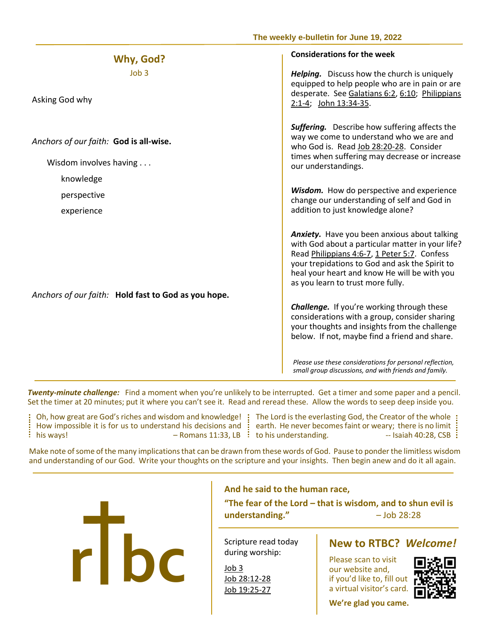| Why, God?                                                        | <b>Considerations for the week</b>                                                                                                                                                                                                                                                      |
|------------------------------------------------------------------|-----------------------------------------------------------------------------------------------------------------------------------------------------------------------------------------------------------------------------------------------------------------------------------------|
| J <sub>o</sub> h <sub>3</sub><br>Asking God why                  | Helping. Discuss how the church is uniquely<br>equipped to help people who are in pain or are<br>desperate. See Galatians 6:2, 6:10; Philippians<br>2:1-4; John 13:34-35.                                                                                                               |
| Anchors of our faith: God is all-wise.<br>Wisdom involves having | <b>Suffering.</b> Describe how suffering affects the<br>way we come to understand who we are and<br>who God is. Read Job 28:20-28. Consider<br>times when suffering may decrease or increase<br>our understandings.                                                                     |
| knowledge                                                        | Wisdom. How do perspective and experience                                                                                                                                                                                                                                               |
| perspective                                                      | change our understanding of self and God in                                                                                                                                                                                                                                             |
| experience                                                       | addition to just knowledge alone?                                                                                                                                                                                                                                                       |
|                                                                  | Anxiety. Have you been anxious about talking<br>with God about a particular matter in your life?<br>Read Philippians 4:6-7, 1 Peter 5:7. Confess<br>your trepidations to God and ask the Spirit to<br>heal your heart and know He will be with you<br>as you learn to trust more fully. |
| Anchors of our faith: Hold fast to God as you hope.              | <b>Challenge.</b> If you're working through these                                                                                                                                                                                                                                       |
|                                                                  | considerations with a group, consider sharing<br>your thoughts and insights from the challenge<br>below. If not, maybe find a friend and share.                                                                                                                                         |
|                                                                  | Please use these considerations for personal reflection,<br>small group discussions, and with friends and family.                                                                                                                                                                       |

 *Twenty-minute challenge:* Find a moment when you're unlikely to be interrupted. Get a timer and some paper and a pencil. Set the timer at 20 minutes; put it where you can't see it. Read and reread these. Allow the words to seep deep inside you.

How impose:<br> **his ways!** Oh, how great are God's riches and wisdom and knowledge! The Lord is the everlasting God, the Creator of the whole How impossible it is for us to understand his decisions and : earth. He never becomes faint or weary; there is no limit his ways! – Romans 11:33, LB to his understanding. -- Isaiah 40:28, CSB

 $\overline{a}$ 

 **The weekly e-bulletin for June 19, 2022**

Make note of some of the many implications that can be drawn from these words of God. Pause to ponder the limitless wisdom and understanding of our God. Write your thoughts on the scripture and your insights. Then begin anew and do it all again.



## **And he said to the human race,**

**"The fear of the Lord – that is wisdom, and to shun evil is understanding."** – Job 28:28

 Scripture read today during worship:

[Job 3](https://www.biblegateway.com/passage/?search=Job+3+&version=NIV)  [Job 19:25-27](https://www.biblegateway.com/passage/?search=Job+19%3A25-27&version=NIV)

Please scan to visit our website and, if you'd like to, fill out a virtual visitor's card.



**We're glad you came.**